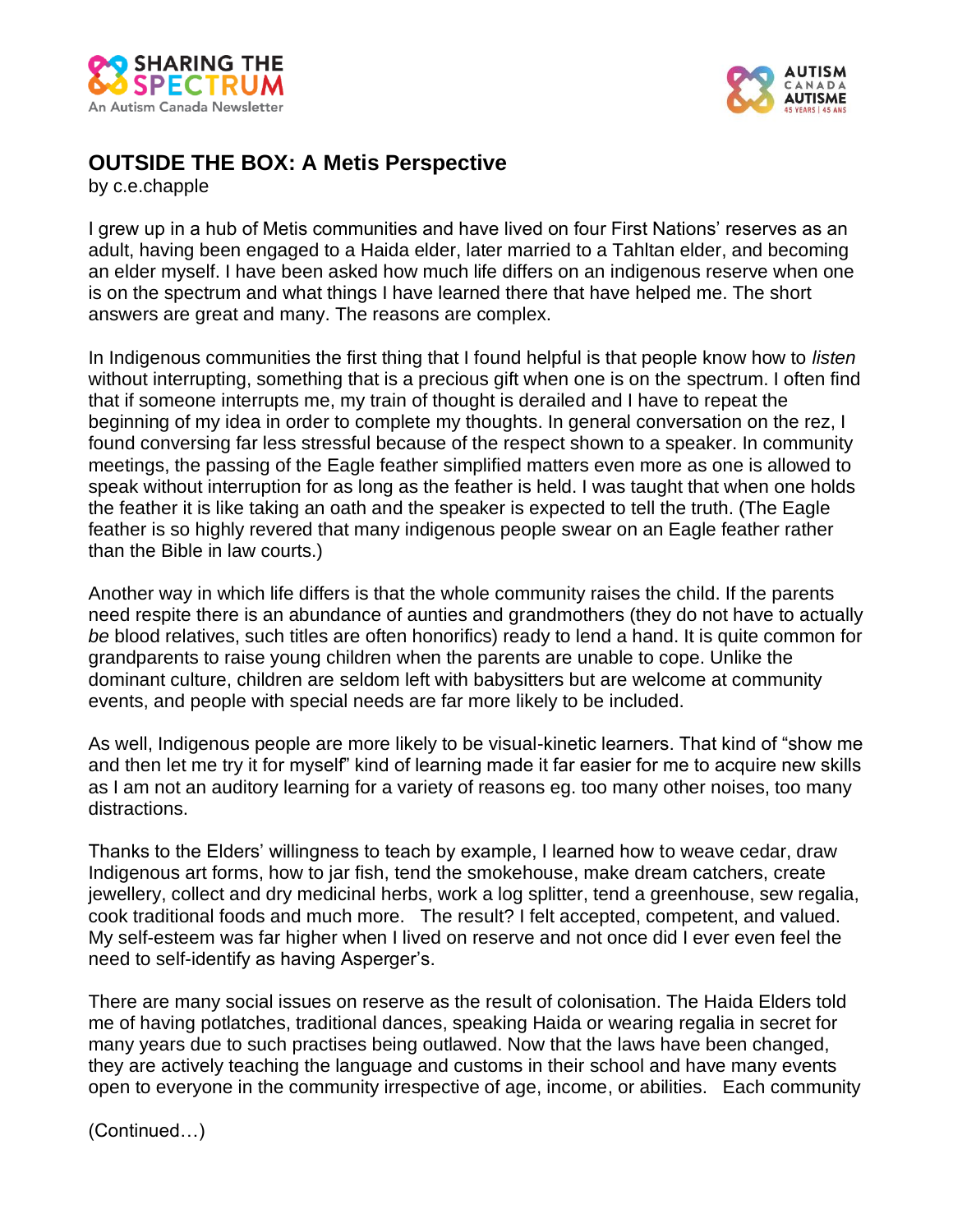



## **OUTSIDE THE BOX: A Metis Perspective**

by c.e.chapple

I grew up in a hub of Metis communities and have lived on four First Nations' reserves as an adult, having been engaged to a Haida elder, later married to a Tahltan elder, and becoming an elder myself. I have been asked how much life differs on an indigenous reserve when one is on the spectrum and what things I have learned there that have helped me. The short answers are great and many. The reasons are complex.

In Indigenous communities the first thing that I found helpful is that people know how to *listen*  without interrupting, something that is a precious gift when one is on the spectrum. I often find that if someone interrupts me, my train of thought is derailed and I have to repeat the beginning of my idea in order to complete my thoughts. In general conversation on the rez, I found conversing far less stressful because of the respect shown to a speaker. In community meetings, the passing of the Eagle feather simplified matters even more as one is allowed to speak without interruption for as long as the feather is held. I was taught that when one holds the feather it is like taking an oath and the speaker is expected to tell the truth. (The Eagle feather is so highly revered that many indigenous people swear on an Eagle feather rather than the Bible in law courts.)

Another way in which life differs is that the whole community raises the child. If the parents need respite there is an abundance of aunties and grandmothers (they do not have to actually *be* blood relatives, such titles are often honorifics) ready to lend a hand. It is quite common for grandparents to raise young children when the parents are unable to cope. Unlike the dominant culture, children are seldom left with babysitters but are welcome at community events, and people with special needs are far more likely to be included.

As well, Indigenous people are more likely to be visual-kinetic learners. That kind of "show me and then let me try it for myself" kind of learning made it far easier for me to acquire new skills as I am not an auditory learning for a variety of reasons eg. too many other noises, too many distractions.

Thanks to the Elders' willingness to teach by example, I learned how to weave cedar, draw Indigenous art forms, how to jar fish, tend the smokehouse, make dream catchers, create jewellery, collect and dry medicinal herbs, work a log splitter, tend a greenhouse, sew regalia, cook traditional foods and much more. The result? I felt accepted, competent, and valued. My self-esteem was far higher when I lived on reserve and not once did I ever even feel the need to self-identify as having Asperger's.

There are many social issues on reserve as the result of colonisation. The Haida Elders told me of having potlatches, traditional dances, speaking Haida or wearing regalia in secret for many years due to such practises being outlawed. Now that the laws have been changed, they are actively teaching the language and customs in their school and have many events open to everyone in the community irrespective of age, income, or abilities. Each community

(Continued…)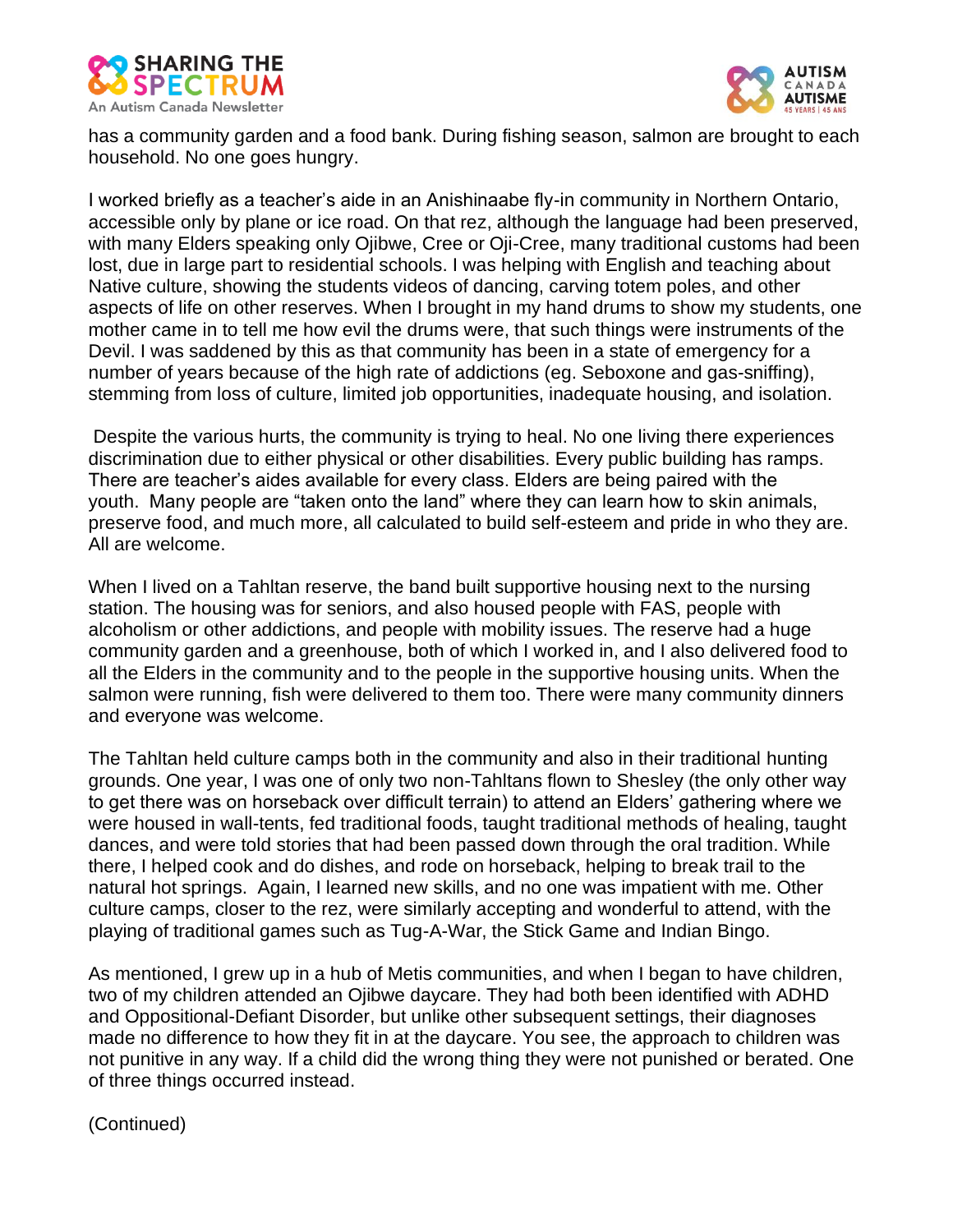



has a community garden and a food bank. During fishing season, salmon are brought to each household. No one goes hungry.

I worked briefly as a teacher's aide in an Anishinaabe fly-in community in Northern Ontario, accessible only by plane or ice road. On that rez, although the language had been preserved, with many Elders speaking only Ojibwe, Cree or Oji-Cree, many traditional customs had been lost, due in large part to residential schools. I was helping with English and teaching about Native culture, showing the students videos of dancing, carving totem poles, and other aspects of life on other reserves. When I brought in my hand drums to show my students, one mother came in to tell me how evil the drums were, that such things were instruments of the Devil. I was saddened by this as that community has been in a state of emergency for a number of years because of the high rate of addictions (eg. Seboxone and gas-sniffing), stemming from loss of culture, limited job opportunities, inadequate housing, and isolation.

Despite the various hurts, the community is trying to heal. No one living there experiences discrimination due to either physical or other disabilities. Every public building has ramps. There are teacher's aides available for every class. Elders are being paired with the youth. Many people are "taken onto the land" where they can learn how to skin animals, preserve food, and much more, all calculated to build self-esteem and pride in who they are. All are welcome.

When I lived on a Tahltan reserve, the band built supportive housing next to the nursing station. The housing was for seniors, and also housed people with FAS, people with alcoholism or other addictions, and people with mobility issues. The reserve had a huge community garden and a greenhouse, both of which I worked in, and I also delivered food to all the Elders in the community and to the people in the supportive housing units. When the salmon were running, fish were delivered to them too. There were many community dinners and everyone was welcome.

The Tahltan held culture camps both in the community and also in their traditional hunting grounds. One year, I was one of only two non-Tahltans flown to Shesley (the only other way to get there was on horseback over difficult terrain) to attend an Elders' gathering where we were housed in wall-tents, fed traditional foods, taught traditional methods of healing, taught dances, and were told stories that had been passed down through the oral tradition. While there, I helped cook and do dishes, and rode on horseback, helping to break trail to the natural hot springs. Again, I learned new skills, and no one was impatient with me. Other culture camps, closer to the rez, were similarly accepting and wonderful to attend, with the playing of traditional games such as Tug-A-War, the Stick Game and Indian Bingo.

As mentioned, I grew up in a hub of Metis communities, and when I began to have children, two of my children attended an Ojibwe daycare. They had both been identified with ADHD and Oppositional-Defiant Disorder, but unlike other subsequent settings, their diagnoses made no difference to how they fit in at the daycare. You see, the approach to children was not punitive in any way. If a child did the wrong thing they were not punished or berated. One of three things occurred instead.

(Continued)